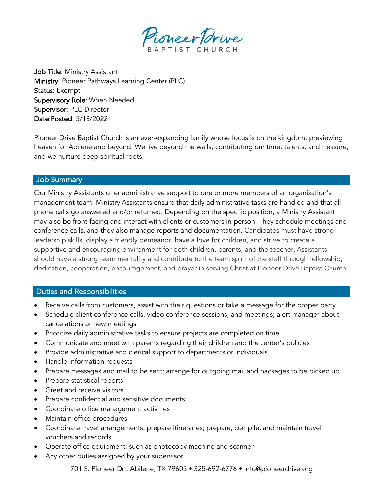

Job Title: Ministry Assistant Ministry: Pioneer Pathways Learning Center (PLC) Status: Exempt Supervisory Role: When Needed Supervisor: PLC Director Date Posted: 5/18/2022

Pioneer Drive Baptist Church is an ever-expanding family whose focus is on the kingdom, previewing heaven for Abilene and beyond. We live beyond the walls, contributing our time, talents, and treasure, and we nurture deep spiritual roots.

## Job Summary

Our Ministry Assistants offer administrative support to one or more members of an organization's management team. Ministry Assistants ensure that daily administrative tasks are handled and that all phone calls go answered and/or returned. Depending on the specific position, a Ministry Assistant may also be front-facing and interact with clients or customers in-person. They schedule meetings and conference calls, and they also manage reports and documentation. Candidates must have strong leadership skills, display a friendly demeanor, have a love for children, and strive to create a supportive and encouraging environment for both children, parents, and the teacher. Assistants should have a strong team mentality and contribute to the team spirit of the staff through fellowship, dedication, cooperation, encouragement, and prayer in serving Christ at Pioneer Drive Baptist Church.

# Duties and Responsibilities

- Receive calls from customers, assist with their questions or take a message for the proper party
- Schedule client conference calls, video conference sessions, and meetings; alert manager about cancelations or new meetings
- Prioritize daily administrative tasks to ensure projects are completed on time
- Communicate and meet with parents regarding their children and the center's policies
- Provide administrative and clerical support to departments or individuals
- Handle information requests
- Prepare messages and mail to be sent; arrange for outgoing mail and packages to be picked up
- Prepare statistical reports
- Greet and receive visitors
- Prepare confidential and sensitive documents
- Coordinate office management activities
- Maintain office procedures
- Coordinate travel arrangements; prepare itineraries; prepare, compile, and maintain travel vouchers and records
- Operate office equipment, such as photocopy machine and scanner
- Any other duties assigned by your supervisor